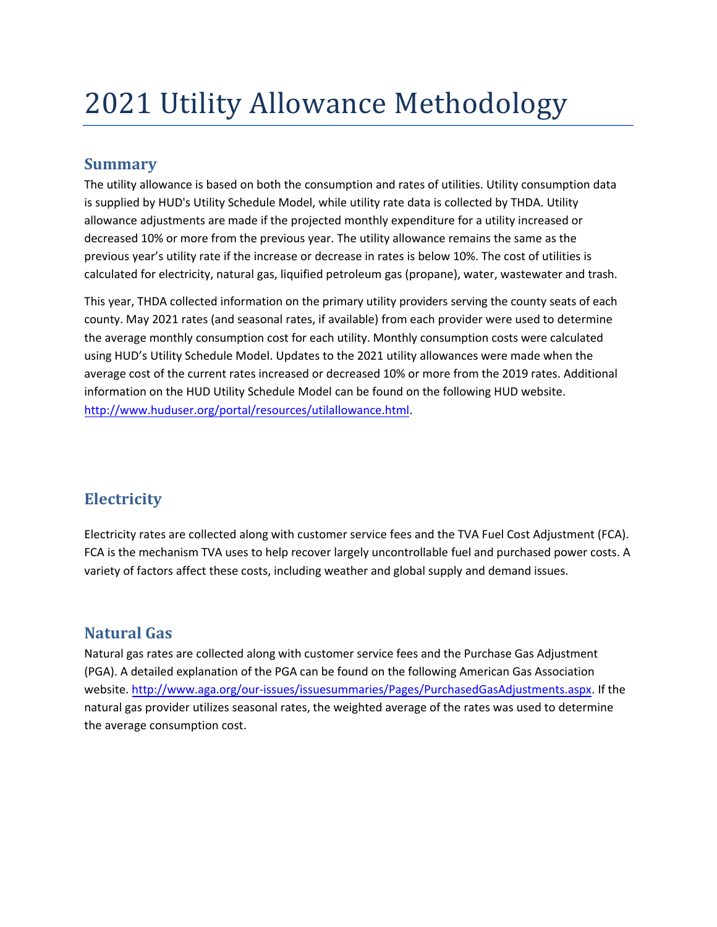# 2021 Utility Allowance Methodology

### **Summary**

The utility allowance is based on both the consumption and rates of utilities. Utility consumption data is supplied by HUD's Utility Schedule Model, while utility rate data is collected by THDA. Utility allowance adjustments are made if the projected monthly expenditure for a utility increased or decreased 10% or more from the previous year. The utility allowance remains the same as the previous year's utility rate if the increase or decrease in rates is below 10%. The cost of utilities is calculated for electricity, natural gas, liquified petroleum gas (propane), water, wastewater and trash.

This year, THDA collected information on the primary utility providers serving the county seats of each county. May 2021 rates (and seasonal rates, if available) from each provider were used to determine the average monthly consumption cost for each utility. Monthly consumption costs were calculated using HUD's Utility Schedule Model. Updates to the 2021 utility allowances were made when the average cost of the current rates increased or decreased 10% or more from the 2019 rates. Additional information on the HUD Utility Schedule Model can be found on the following HUD website. [http://www.huduser.org/portal/resources/utilallowance.html.](http://www.huduser.org/portal/resources/utilallowance.html)

## **Electricity**

Electricity rates are collected along with customer service fees and the TVA Fuel Cost Adjustment (FCA). FCA is the mechanism TVA uses to help recover largely uncontrollable fuel and purchased power costs. A variety of factors affect thes[e costs, including weather and global supply and](http://energy.gov/energysaver/articles/electric-resistance-heating) demand issues.

## **Natural Gas**

Natural gas rates are collected along with customer service fees and the Purchase Gas Adjustment (PGA). A detailed explanation of the PGA can be found on the following American Gas Association website. http://www.aga.org/our-issues/issuesummaries/Pages/PurchasedGasAdjustments.aspx. If the natural [gas provider utilizes seasonal rates,](http://www.aga.org/our-issues/issuesummaries/Pages/PurchasedGasAdjustments.aspx) the weighted average of the rates was used to determine the average consumption cost.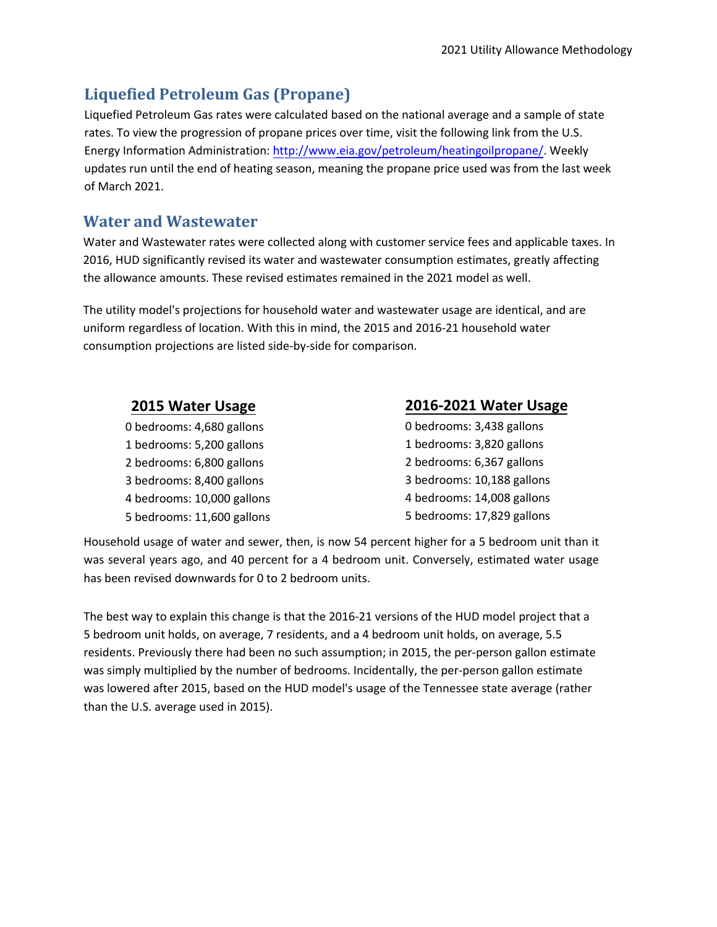#### **Liquefied Petroleum Gas (Propane)**

Liquefied Petroleum Gas rates were calculated based on the national average and a sample of state rates. To view the progression of propane prices over time, visit the following link from the U.S. Energy Information Administration: http://www.eia.gov/petroleum/heatingoilpropane/. Weekly updates run until the end of heating season, meaning the propane price used was from the last week of March 2021.

#### **Water and Wastewate[r](http://www.eia.gov/petroleum/heatingoilpropane/)**

Water and Wastewater rates were collected along with customer service fees and applicable taxes. In 2016, HUD significantly revised its water and wastewater consumption estimates, greatly affecting the allowance amounts. These revised estimates remained in the 2021 model as well.

The utility model's projections for household water and wastewater usage are identical, and are uniform regardless of location. With this in mind, the 2015 and 2016-21 household water consumption projections are listed side-by-side for comparison.

| 2015 Water Usage           | 2016-2021 Water Usage      |
|----------------------------|----------------------------|
| 0 bedrooms: 4,680 gallons  | 0 bedrooms: 3,438 gallons  |
| 1 bedrooms: 5,200 gallons  | 1 bedrooms: 3,820 gallons  |
| 2 bedrooms: 6,800 gallons  | 2 bedrooms: 6,367 gallons  |
| 3 bedrooms: 8,400 gallons  | 3 bedrooms: 10,188 gallons |
| 4 bedrooms: 10,000 gallons | 4 bedrooms: 14,008 gallons |
| 5 bedrooms: 11,600 gallons | 5 bedrooms: 17,829 gallons |

Household usage of water and sewer, then, is now 54 percent higher for a 5 bedroom unit than it was several years ago, and 40 percent for a 4 bedroom unit. Conversely, estimated water usage has been revised downwards for 0 to 2 bedroom units.

The best way to explain this change is that the 2016-21 versions of the HUD model project that a 5 bedroom unit holds, on average, 7 residents, and a 4 bedroom unit holds, on average, 5.5 residents. Previously there had been no such assumption; in 2015, the per-person gallon estimate was simply multiplied by the number of bedrooms. Incidentally, the per-person gallon estimate was lowered after 2015, based on the HUD model's usage of the Tennessee state average (rather than the U.S. average used in 2015).